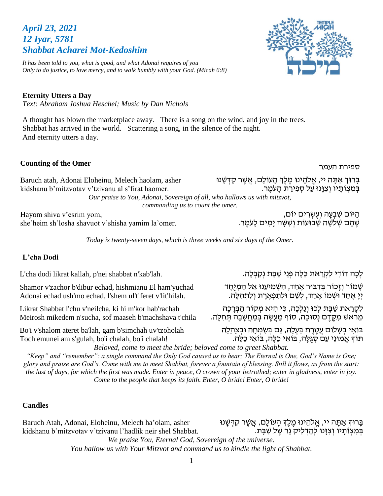# *April 23, 2021 12 Iyar, 5781 Shabbat Acharei Mot-Kedoshim*

*It has been told to you, what is good, and what Adonai requires of you Only to do justice, to love mercy, and to walk humbly with your God. (Micah 6:8)*

### **Eternity Utters a Day**

*Text: Abraham Joshua Heschel; Music by Dan Nichols*

A thought has blown the marketplace away. There is a song on the wind, and joy in the trees. Shabbat has arrived in the world. Scattering a song, in the silence of the night. And eternity utters a day.

# העמר ספירת **Counting of the Omer**

בָּרוּדְ אַתָּה יי, אֱלֹהֶינוּ מֶלֶדְ הַעוֹלָם, אֲשֶׁר קִדְּשָּׁנוּ בִּמְצְוֹתָיו וְצְוָּנוּ עַל סְפִירַת הָעֹמֵר. Baruch atah, Adonai Eloheinu, Melech haolam, asher kidshanu b'mitzvotav v'tzivanu al s'firat haomer. *Our praise to You, Adonai, Sovereign of all, who hallows us with mitzvot, commanding us to count the omer.* הַ ּיֹום שִ בְּ עָּ ה וְּ עֶ שְּ רִ ים יֹום,

Hayom shiva v'esrim yom, she'heim sh'losha shavuot v'shisha yamim la'omer.

*Today is twenty-seven days, which is three weeks and six days of the Omer.* 

## **L'cha Dodi**

L'cha dodi likrat kallah, p'nei shabbat n'kab'lah.

Shamor v'zachor b'dibur echad, hishmianu El ham'yuchad Adonai echad ush'mo echad, l'shem ul'tiferet v'lit'hilah.

Likrat Shabbat l'chu v'neilcha, ki hi m'kor hab'rachah Meirosh mikedem n'sucha, sof maaseh b'machshava t'chila

Bo'i v'shalom ateret ba'lah, gam b'simchah uv'tzoholah Toch emunei am s'gulah, bo'i chalah, bo'i chalah!

לְּכָּה דוֹדִי לִקְרַאת כַּלֵּה פְּנֵי שַׁבַַּת נְקַבְּלֵה.

שֶ הֵ ם שְּ ֹלשָּ ה שָּ בּועֹות וְּ שִ שָּ ה יָּמִ ים לָּעֹמֶ ר.

ּ שָׁמֹוֹר וְזָכוֹר בִּדְבּוּר אֱחַד, הִשְׁמִיעַנוּ אֱל הַמְיָחָד יִּיָּ אֶחַד וּשְׁמוֹ אֱחַד, לִשֶׁם וּלִתְפְאֶרֶת וְלִתְהְלָּה.

לִקְרַאת שַׁבָּת לְכוּ וְגֵלְכָה, כִּי הִיא מְקוֹר הַבְּרָכָה ְמֵרֹאשׁ מִקֶּדֶם נְסוּכָה, סוֹף מַעֲשֶׂה בִּמַחַשָּׁבַה תִּחְלֵה.

**ָ** בֹואִ י בְּ שָּ לֹום עֲטֶ רֶ ת בַ עְּ לָּּה, גַם בְּ שִ מְּ חָּ ה ּובְּ צ **ָ**הלָּה תֹוְך אֱ מּונֵי עַם סְּ גֻלָּה, בֹואִ י כַלָּה, בֹואִ י כַלָּה.

*Beloved, come to meet the bride; beloved come to greet Shabbat.*

*"Keep" and "remember": a single command the Only God caused us to hear; The Eternal is One, God's Name is One; glory and praise are God's. Come with me to meet Shabbat, forever a fountain of blessing. Still it flows, as from the start: the last of days, for which the first was made. Enter in peace, O crown of your betrothed; enter in gladness, enter in joy. Come to the people that keeps its faith. Enter, O bride! Enter, O bride!*

## **Candles**

Baruch Atah, Adonai, Eloheinu, Melech ha'olam, asher kidshanu b'mitzvotav v'tzivanu l'hadlik neir shel Shabbat. בְּרוּדְ אַתָּה יי, אֱלֹהֵינוּ מֶלֶדְ הָעוֹלָם, אֲשֵׁר קִדְּשָׁנוּ בִּמְצְוֹתֵיו וְצִוּּנוּ לְהַדְלִיק נֵר שֶׁל שַׁבֵּת. *We praise You, Eternal God, Sovereign of the universe. You hallow us with Your Mitzvot and command us to kindle the light of Shabbat.*

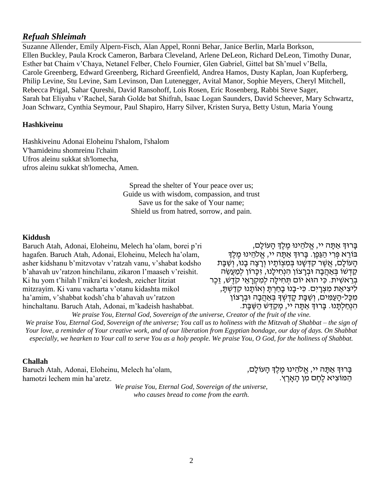## *Refuah Shleimah*

Suzanne Allender, Emily Alpern-Fisch, Alan Appel, Ronni Behar, Janice Berlin, Marla Borkson, Ellen Buckley, Paula Krock Cameron, Barbara Cleveland, Arlene DeLeon, Richard DeLeon, Timothy Dunar, Esther bat Chaim v'Chaya, Netanel Felber, Chelo Fournier, Glen Gabriel, Gittel bat Sh'muel v'Bella, Carole Greenberg, Edward Greenberg, Richard Greenfield, Andrea Hamos, Dusty Kaplan, Joan Kupferberg, Philip Levine, Stu Levine, Sam Levinson, Dan Lutenegger, Avital Manor, Sophie Meyers, Cheryl Mitchell, Rebecca Prigal, Sahar Qureshi, David Ransohoff, Lois Rosen, Eric Rosenberg, Rabbi Steve Sager, Sarah bat Eliyahu v'Rachel, Sarah Golde bat Shifrah, Isaac Logan Saunders, David Scheever, Mary Schwartz, Joan Schwarz, Cynthia Seymour, Paul Shapiro, Harry Silver, Kristen Surya, Betty Ustun, Maria Young

#### **Hashkiveinu**

Hashkiveinu Adonai Eloheinu l'shalom, l'shalom V'hamideinu shomreinu l'chaim Ufros aleinu sukkat sh'lomecha, ufros aleinu sukkat sh'lomecha, Amen.

> Spread the shelter of Your peace over us; Guide us with wisdom, compassion, and trust Save us for the sake of Your name; Shield us from hatred, sorrow, and pain.

#### **Kiddush**

Baruch Atah, Adonai, Eloheinu, Melech ha'olam, borei p'ri hagafen. Baruch Atah, Adonai, Eloheinu, Melech ha'olam, asher kidshanu b'mitzvotav v'ratzah vanu, v'shabat kodsho b'ahavah uv'ratzon hinchilanu, zikaron l'maaseh v'reishit. Ki hu yom t'hilah l'mikra'ei kodesh, zeicher litziat mitzrayim. Ki vanu vacharta v'otanu kidashta mikol ha'amim, v'shabbat kodsh'cha b'ahavah uv'ratzon hinchaltanu. Baruch Atah, Adonai, m'kadeish hashabbat.

ָבָּרוּךְ אַתָּה יי, אֱלֹהֵינוּ מֶלֶךְ הָעוֹלָם, בּוֹרֵא פִּרְי הַגַּפֵן. בַּרוּךְ אַתָּה יי, אֱלֹהֵינוּ מֶלֶךְ הַעוֹלַם, אֲשֶׁר קִדְּשָׁנוּ בְּמִצְוֹתַיו וְרַצָּה בָנוּ, וְשַׁבָּת ַקַדְשׁוֹ בְּאַהֲבָה וּבְרָצוֹן הִנְחִילָנוּ, זִכָּרוֹן לִמַעֲשֶׂה בְּרָאשִׁית. כִּי הוּא יוֹם תִּחִילַה לִמְקָרָאֵי קֹדָשׁ, זֶכֶר לִיצִיאַת מִצְרַיִם. כִּי-בָּנוּ בַּחַרְתַּ וְאוֹתֲנוּ קָדַשְׁתַּ, ֹמְכָּל-הָעַמִּים, וְשַׁבָּת קָדְשְׁךָ בְּאַהֲבָה וּבְרָצוֹן ּהִ נְחַלְתָּנוּ. בָּרוּךְ אַתָּה יי, מִקֲדֵשׁ הַשַּׁבָּת.

*We praise You, Eternal God, Sovereign of the universe, Creator of the fruit of the vine. We praise You, Eternal God, Sovereign of the universe; You call us to holiness with the Mitzvah of Shabbat – the sign of Your love, a reminder of Your creative work, and of our liberation from Egyptian bondage, our day of days. On Shabbat especially, we hearken to Your call to serve You as a holy people. We praise You, O God, for the holiness of Shabbat.*

#### **Challah**

Baruch Atah, Adonai, Eloheinu, Melech ha'olam, hamotzi lechem min ha'aretz.

בָּרוּךְ אַתָּה יי, אֱלֹהֵינוּ מֶלֶךְ הָעוֹלָם, הַמּוֹצִיא לֶחֶם מְן הַאֲרֶץ.

*We praise You, Eternal God, Sovereign of the universe, who causes bread to come from the earth.*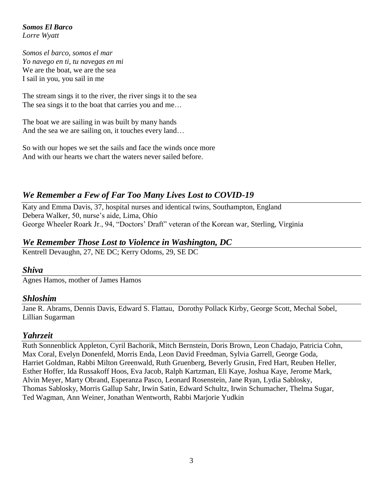*Somos El Barco Lorre Wyatt* 

*Somos el barco, somos el mar Yo navego en ti, tu navegas en mi* We are the boat, we are the sea I sail in you, you sail in me

The stream sings it to the river, the river sings it to the sea The sea sings it to the boat that carries you and me…

The boat we are sailing in was built by many hands And the sea we are sailing on, it touches every land…

So with our hopes we set the sails and face the winds once more And with our hearts we chart the waters never sailed before.

## *We Remember a Few of Far Too Many Lives Lost to COVID-19*

Katy and Emma Davis, 37, hospital nurses and identical twins, Southampton, England Debera Walker, 50, nurse's aide, Lima, Ohio George Wheeler Roark Jr., 94, "Doctors' Draft" veteran of the Korean war, Sterling, Virginia

## *We Remember Those Lost to Violence in Washington, DC*

Kentrell Devaughn, 27, NE DC; Kerry Odoms, 29, SE DC

## *Shiva*

Agnes Hamos, mother of James Hamos

## *Shloshim*

Jane R. Abrams, Dennis Davis, Edward S. Flattau, Dorothy Pollack Kirby, George Scott, Mechal Sobel, Lillian Sugarman

## *Yahrzeit*

Ruth Sonnenblick Appleton, Cyril Bachorik, Mitch Bernstein, Doris Brown, Leon Chadajo, Patricia Cohn, Max Coral, Evelyn Donenfeld, Morris Enda, Leon David Freedman, Sylvia Garrell, George Goda, Harriet Goldman, Rabbi Milton Greenwald, Ruth Gruenberg, Beverly Grusin, Fred Hart, Reuben Heller, Esther Hoffer, Ida Russakoff Hoos, Eva Jacob, Ralph Kartzman, Eli Kaye, Joshua Kaye, Jerome Mark, Alvin Meyer, Marty Obrand, Esperanza Pasco, Leonard Rosenstein, Jane Ryan, Lydia Sablosky, Thomas Sablosky, Morris Gallup Sahr, Irwin Satin, Edward Schultz, Irwin Schumacher, Thelma Sugar, Ted Wagman, Ann Weiner, Jonathan Wentworth, Rabbi Marjorie Yudkin